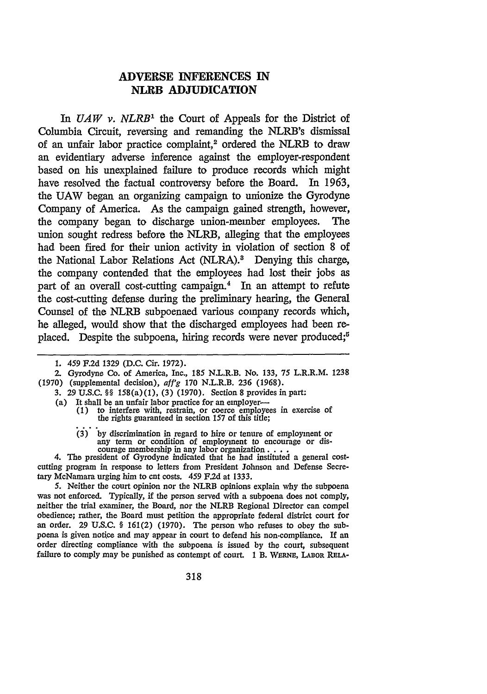## **ADVERSE INFERENCES IN NLRB ADJUDICATION**

In *UAW v. NLRB*<sup>1</sup> the Court of Appeals for the District of Columbia Circuit, reversing and remanding the NLRB's dismissal of an unfair labor practice complaint,<sup>2</sup> ordered the NLRB to draw an evidentiary adverse inference against the employer-respondent based on his unexplained failure to produce records which might have resolved the factual controversy before the Board. In 1963, the **UAW** began an organizing campaign to unionize the Gyrodyne Company of America. As the campaign gained strength, however, the company began to discharge union-member employees. The union sought redress before the NLRB, alleging that the employees had been fired for their union activity in violation of section 8 of the National Labor Relations Act (NLRA).<sup>8</sup> Denying this charge, the company contended that the employees had lost their jobs as part of an overall cost-cutting campaign.4 In an attempt to refute the cost-cutting defense during the preliminary hearing, the General Counsel of the NLRB subpoenaed various company records which, he alleged, would show that the discharged employees had been replaced. Despite the subpoena, hiring records were never produced;<sup>6</sup>

- 3. 29 U.S.C. §§ 158(a) (1), (3) (1970). Section 8 provides in part:
- (a) It shall be an unfair labor practice for an employer-<br>(1) to interfere with, restrain, or coerce employe
	- (1) to interfere with, restrain, or coerce employees in exercise of the rights guaranteed in section 157 of this title; (3) by discrimination in regard to hire or tenure or tenure or tenure or tenure or tenure or tenure or tenure
- any term or condition of employment to encourage or dis-<br>courage membership in any labor organization  $\dots$ .<br>4. The president of Gyrodyne indicated that he had instituted a general cost-

5. Neither the court opinion nor the NLRB opinions explain why the subpoena was not enforced. Typically, if the person served with a subpoena does not comply, neither the trial examiner, the Board, nor the NLRB Regional Director can compel obedience; rather, the Board must petition the appropriate federal district court for an order. 29 U.S.C. § 161(2) (1970). The person who refuses to obey the subpoena is given notice and may appear in court to defend his non-compliance. If an order directing compliance with the subpoena is issued by the court, subsequent failure to comply may be punished as contempt of court. 1 B. WERNE, LABOR RELA-

<sup>1.</sup> 459 F.2d 1329 (D.C. Cir. 1972).

<sup>2.</sup> Gyrodyne Co. of America, Inc., 185 N.L.R.B. No. 133, 75 L.R.R.M. 1238 (1970) (supplemental decision), *affg* 170 N.L.R.B. 236 (1968).

cutting program in response to letters from President Johnson and Defense Secretary McNamara urging him to cut costs. 459 F.2d at 1333.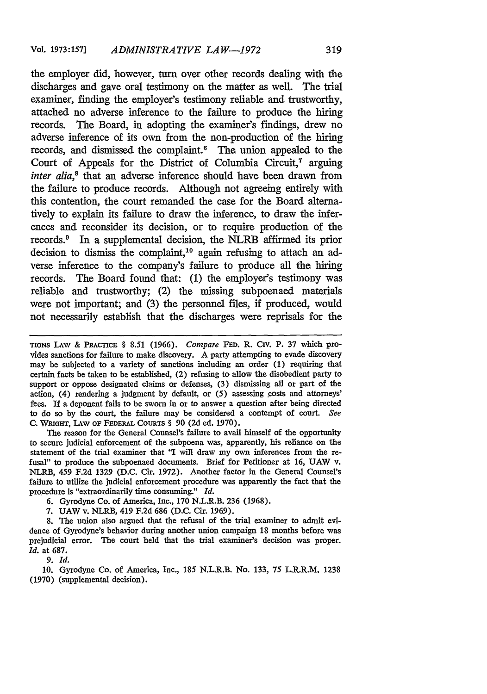the employer did, however, turn over other records dealing with the discharges and gave oral testimony on the matter as well. The trial examiner, finding the employer's testimony reliable and trustworthy, attached no adverse inference to the failure to produce the hiring records. The Board, in adopting the examiner's findings, drew no adverse inference of its own from the non-production of the hiring records, and dismissed the complaint.<sup>6</sup> The union appealed to the Court of Appeals for the District of Columbia Circuit, $^7$  arguing *inter alia*,<sup>8</sup> that an adverse inference should have been drawn from the failure to produce records. Although not agreeing entirely with this contention, the court remanded the case for the Board alternatively to explain its failure to draw the inference, to draw the inferences and reconsider its decision, or to require production of the records.<sup>9</sup> In a supplemental decision, the NLRB affirmed its prior decision to dismiss the complaint,<sup>10</sup> again refusing to attach an adverse inference to the company's failure to produce all the hiring records. The Board found that: (1) the employer's testimony was reliable and trustworthy; (2) the missing subpoenaed materials were not important; and (3) the personnel files, if produced, would not necessarily establish that the discharges were reprisals for the

TIONS **LAW** & PRACTICE § **8.51** (1966). *Compare* **FED. R. Ciy. P. 37** which provides sanctions for failure to make discovery. A party attempting to evade discovery may be subjected to a variety of sanctions including an order (1) requiring that certain facts be taken to be established, (2) refusing to allow the disobedient party to support or oppose designated claims or defenses, (3) dismissing all or part of the action, (4) rendering a judgment by default, or (5) assessing costs and attorneys' fees. If a deponent fails to be sworn in or to answer a question after being directed to do so by the court, the failure may be considered a contempt of court. *See* **C. WRIGHT,** I.Aw oF FEDERAL **COURTs** § 90 (2d ed. 1970).

The reason for the General Counsel's failure to avail himself of the opportunity to secure judicial enforcement of the subpoena was, apparently, his reliance on the statement of the trial examiner that "I will draw my own inferences from the refusal" to produce the subpoenaed documents. Brief for Petitioner at **16,** UAW v. NLRB, 459 F.2d 1329 (D.C. Cir. 1972). Another factor in the General Counsel's failure to utilize the judicial enforcement procedure was apparently the fact that the procedure is "extraordinarily time consuming." *Id.*

6. Gyrodyne Co. of America, Inc., 170 N.L.R.B. 236 (1968).

7. **UAW** v. NLRB, 419 F.2d 686 (D.C. Cir. 1969).

**8.** The union also argued that the refusal of the trial examiner to admit evidence of Gyrodyne's behavior during another union campaign 18 months before was prejudicial error. The court held that the trial examiner's decision was proper. *Id.* at 687.

*9. Id.*

10. Gyrodyne Co. of America, Inc., 185 N.L.R.B. No. **133,** 75 L.R.R.M 1238 (1970) (supplemental decision).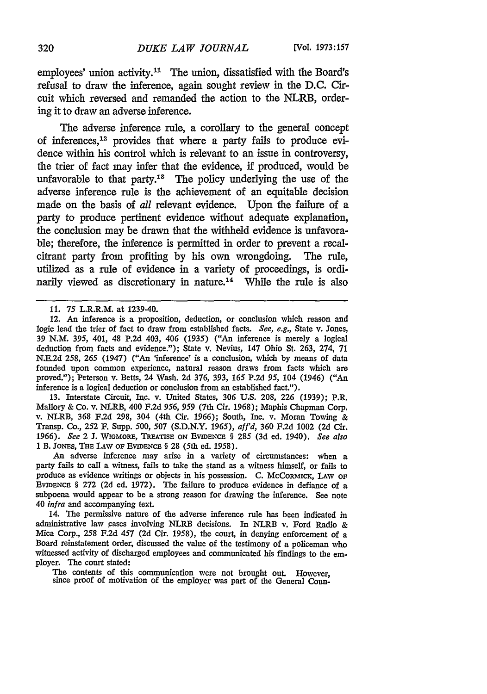employees' union activity.<sup>11</sup> The union, dissatisfied with the Board's refusal to draw the inference, again sought review in the D.C. Circuit which reversed and remanded the action to the NLRB, ordering it to draw an adverse inference.

The adverse inference rule, a corollary to the general concept of inferences, 12 provides that where a party fails to produce evidence within his control which is relevant to an issue in controversy, the trier of fact may infer that the evidence, if produced, would be unfavorable to that party.<sup>13</sup> The policy underlying the use of the adverse inference rule is the achievement of an equitable decision made on the basis of *all* relevant evidence. Upon the failure of a party to produce pertinent evidence without adequate explanation, the conclusion may be drawn that the withheld evidence is unfavorable; therefore, the inference is permitted in order to prevent a recalcitrant party from profiting by his own wrongdoing. The rule, utilized as a rule of evidence in a variety of proceedings, is ordinarily viewed as discretionary in nature.<sup>14</sup> While the rule is also

13. Interstate Circuit, Inc. v. United States, 306 **U.S.** 208, 226 (1939); P.R. Mallory & Co. v. NLRB, 400 F.2d *956, 959* (7th Cir. 1968); Maphis Chapman Corp. v. NLRB, 368 F.2d 298, 304 (4th Cir. 1966); South, Inc. v. Moran Towing **&** Transp. Co., 252 F. Supp. 500, 507 (S.D.N.Y. *1965), af'd,* 360 F.2d 1002 (2d Cir. 1966). *See* 2 **J.** WiGMORE, TREATSE ON EVIDENCE § 285 (3d ed. 1940). *See also* 1 B. JONES, **THE** LAW OF EVIDENCE § 28 (5th ed. 1958).

An adverse inference may arise in a variety of circumstances: when a party fails to call a witness, fails to take the stand as a witness himself, or fails to produce as evidence writings or objects in his possession. C. McCoRMICK, LAW OF EVIDENCE § 272 (2d ed. 1972). The failure to produce evidence in defiance of a subpoena would appear to be a strong reason for drawing the inference. See note 40 *infra* and accompanying text.

14. The permissive nature of the adverse inference rule has been indicated in administrative law cases involving NLRB decisions. In NLRB v. Ford Radio **&** Mica Corp., 258 F.2d 457 **(2d** Cir. 1958), the court, in denying enforcement of a Board reinstatement order, discussed the value of the testimony of a policeman who witnessed activity of discharged employees and communicated his findings to the employer. The court stated:

The contents of this communication were not brought out. However, since proof of motivation of the employer was part of the General Coun-

<sup>11.</sup> **75** L.R.R.M. at 1239-40.

<sup>12.</sup> *An* inference is a proposition, deduction, or conclusion which reason and logic lead the trier of fact to draw from established facts. *See, e.g.,* State **v.** Jones, 39 N.M. *395,* 401, 48 P.2d 403, 406 (1935) ("An inference is merely a logical deduction from facts and evidence."); State v. Nevius, 147 Ohio St. 263, 274, 71 N.E.2d 258, *265* (1947) ("An 'inference' is a conclusion, which by means of data founded upon common experience, natural reason draws from facts which are proved."); Peterson v. Betts, 24 Wash. 2d 376, 393, 165 P.2d *95,* 104 (1946) ("An inference is a logical deduction or conclusion from an established fact.").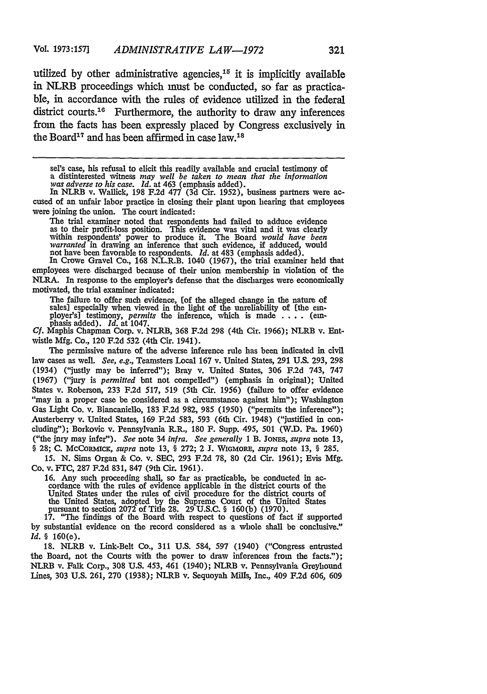utilized **by** other administrative agencies,15 it is implicitly available in NLRB proceedings which must be conducted, so far as practicable, in accordance with the rules of evidence utilized in the federal district courts. $16$  Furthermore, the authority to draw any inferences from the facts has been expressly placed **by** Congress exclusively in the Board<sup>17</sup> and has been affirmed in case  $1$ aw.<sup>18</sup>

sel's case, his refusal to elicit this readily available and crucial testimony of a distinterested witness *may well be taken to mean that the information was adverse to his case. Id.* at 463 (emphasis added).

In NLRB v. Wallick, 198 F.2d 477 (3d Cir. 1952), business partners were ac-<br>cused of an unfair labor practice in closing their plant upon hearing that employees were joining the union. The court indicated:

The trial examiner noted that respondents had failed to adduce evidence<br>as to their profit-loss position. This evidence was vital and it was clearly<br>within respondents' power to produce it. The Board *would have been*<br>*war* 

In Crowe Gravel Co., 168 N.L.R.B. 1040 (1967), the trial examiner held that employees were discharged because of their union membership in violation of the NLRA. In response to the employer's defense that the discharges were economically motivated, the trial examiner indicated:

The failure to offer such evidence, [of the alleged change in the nature of sales] especially when viewed in the light of the unreliability of [the em-<br>ployer's] testimony, *permits* the inference, which is made . **.** . . (em-<br>phasis added). *Id.* at 1047.

*Cf.* Maphis Chapman Corp. v. NLRB, 368 F.2d 298 (4th Cir. 1966); NLRB v. Entwistle Mfg. Co., 120 F.2d 532 (4th Cir. 1941).

The permissive nature of the adverse inference rule has been indicated in civil law cases as well. *See, e.g.,* Teamsters Local 167 v. United States, 291 U.S. 293, 298 (1934) ("justly may be inferred"); Bray v. United States, 306 F.2d 743, **747 (1967)** ("jury is *permitted* but not compelled") (emphasis in original); United States v. Roberson, **233** F.2d 517, 519 (5th Cir. 1956) (failure to offer evidence "may in a proper case be considered as a circumstance against him"); Washington Gas Light Co. v. Biancaniello, 183 F.2d 982, 985 (1950) ("permits the inference"); Austerberry v. United States, 169 F.2d 583, 593 (6th Cir. 1948) ("justified in concluding"); Borkovic v. Pennsylvania R.R., 180 F. Supp. 495, 501 (W.D. Pa. 1960) ("the jury may infer"). *See* note 34 *infra. See generally* 1 B. JoNES, *supra* note 13, § **28; C.** MCCORaMIcK, *supra* note 13, § 272; 2 **J.** WIGMoRE, *supra* note **13,** § 285.

*15.* N. Sims Organ & Co. v. SEC, 293 F.2d 78, 80 **(2d** Cir. 1961); Evis Mfg. Co. v. FTC, 287 F.2d 831, 847 (9th Cir. 1961).

16. Any such proceeding shall, so far as practicable, be conducted in ac- cordance with the rules of evidence applicable in the district courts of the United States under the rules of civil procedure for the district courts of the United States, adopted by the Supreme Court of the United States pursuant to section 2072 of Title 28. 29 U.S.C. § 160(b) (1970).

17. "The findings of the Board with respect to questions of fact if supported by substantial evidence on the record considered as a whole shall be conclusive." *Id.* § 160(e).

18. NLRB v. Link-Belt Co., 311 U.S. 584, 597 (1940) ("Congress entrusted the Board, not the Courts with the power to draw inferences from the facts.'); NLRB v. Falk Corp., 308 U.S. 453, 461 (1940); NLRB v. Pennsylvania Greyhound Lines, 303 U.S. 261, 270 (1938); NLRB v. Sequoyah Mills, Inc., 409 **F.2d 606, 609**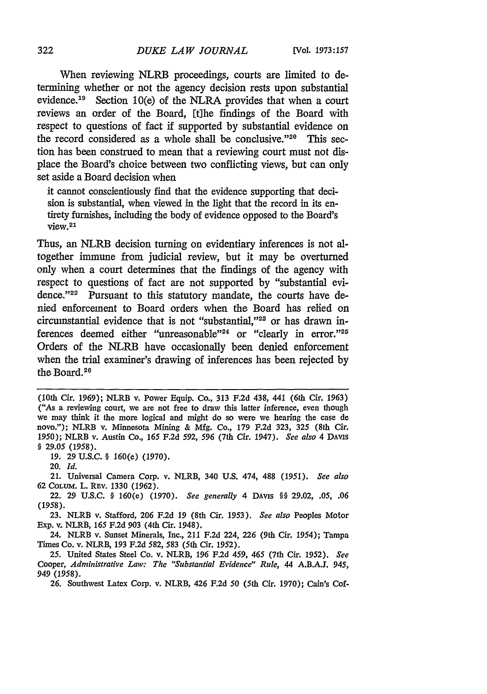When reviewing NLRB proceedings, courts are limited to determining whether or not the agency decision rests upon substantial evidence.<sup>19</sup> Section 10(e) of the NLRA provides that when a court reviews an order of the Board, [tihe findings of the Board with respect to questions of fact if supported by substantial evidence on the record considered as a whole shall be conclusive." $20$  This section has been construed to mean that a reviewing court must not displace the Board's choice between two conflicting views, but can only set aside a Board decision when

it cannot conscientiously find that the evidence supporting that decision is substantial, when viewed in the light that the record in its entirety furnishes, including the body of evidence opposed to the Board's view. <sup>21</sup>

Thus, an NLRB decision turning on evidentiary inferences is not altogether immune from judicial review, but it may be overturned only when a court determines that the findings of the agency with respect to questions of fact are not supported by "substantial evidence."<sup>22</sup> Pursuant to this statutory mandate, the courts have denied enforcement to Board orders when the Board has relied on circumstantial evidence that is not "substantial,"<sup>28</sup> or has drawn inferences deemed either "unreasonable"<sup>24</sup> or "clearly in error."<sup>25</sup> Orders of the NLRB have occasionally been denied enforcement when the trial examiner's drawing of inferences has been rejected by the Board.<sup>26</sup>

**19.** 29 **U.S.C.** § 160(e) (1970).

20. *Id.*

21. Universal Camera Corp. v. NLRB, 340 U.S. 474, 488 (1951). *See* also 62 CoLUM. L. REV. 1330 (1962).

22. 29 U.S.C. § 160(e) (1970). *See generally* 4 DAVIS §§ 29.02, .05, *.06 (1958).*

23. NLRB v. Stafford, 206 F.2d 19 (8th Cir. *1953). See also* Peoples Motor Exp. v. NLRB, **165** F.2d 903 (4th Cir. 1948).

24. NLRB v. Sunset Minerals, Inc., 211 F.2d 224, **226** (9th Cir. 1954); Tampa Times Co. **v.** NLRB, 193 F.2d 582, 583 (5th Cir. 1952).

*25.* United States Steel Co. v. NLRB, 196 F.2d *459, 465* (7th Cir. 1952). *See* Cooper, *Administrative Lav: The "Substantial Evidence" Rule,* 44 A.B.A.J. 945, 949 *(1958).*

26. Southwest Latex Corp. v. NLRB, 426 **F.2d** 50 (5th Cir. 1970); Cain's Cof-

<sup>(10</sup>th Cir. 1969); NLRB v. Power Equip. Co., 313 F.2d 438, 441 (6th Cir. 1963) ("As a reviewing court, we are not free to draw this latter inference, even though we may think it the more logical and might do so were we hearing the case de novo."); NLRB v. Minnesota Mining & **Mfg.** Co., **179 F.2d 323, 325** (8th Cir. 1950); NLRB v. Austin Co., 165 F.2d 592, *596* (7th Cir. 1947). *See also* 4 **DAVIS** *§* 29.05 (1958).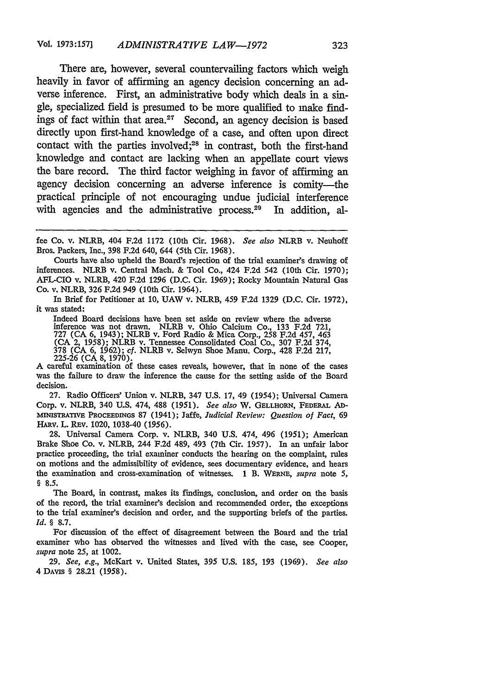There are, however, several countervailing factors which weigh heavily in favor of affirming an agency decision concerning an adverse inference. First, an administrative body which deals in a single, specialized field is presumed to be more qualified to make findings of fact within that area.<sup>27</sup> Second, an agency decision is based directly upon first-hand knowledge of a case, and often upon direct contact with the parties involved;<sup>28</sup> in contrast, both the first-hand knowledge and contact are lacking when an appellate court views the bare record. The third factor weighing in favor of affirming an agency decision concerning an adverse inference is comity-the practical principle of not encouraging undue judicial interference with agencies and the administrative process.<sup>29</sup> In addition, al-

Courts have also upheld the Board's rejection of the trial examiner's drawing of inferences. NLRB v. Central Mach. & Tool Co., 424 F.2d 542 (10th Cir. 1970); AFL-CIO v. NLRB, 420 F.2d 1296 (D.C. Cir. 1969); Rocky Mountain Natural Gas Co. v. NLRB, 326 F.2d 949 (10th Cir. 1964).

In Brief for Petitioner at 10, UAW v. NLRB, 459 F.2d 1329 (D.C. Cir. 1972), it was stated:

Indeed Board decisions have been set aside on review where the adverse inference was not drawn. NLRB v. Ohio Calcium Co., 133 F.2d 721, 727 (CA 6, 1943); NLRB v. Ford Radio & Mica Corp., 258 F.2d 457, 463 (CA 2, 1958); NLRB v. Tennessee Consolidated Coal Co., 307 F.2d 374, 378 (CA 6, 1962); *cf.* NLRB v. Selwyn Shoe Manu. Corp., 428 F.2d 217, 225-26 (CA 8, 1970).

A careful examination of these cases reveals, however, that in none of the cases was the failure to draw the inference the cause for the setting aside of the Board decision.

27. Radio Officers' Union v. NLRB, 347 U.S. 17, 49 (1954); Universal Camera Corp. v. NLRB, 340 U.S. 474, 488 *(1951). See also* W. GELLHORN, FEDERAL *AD-***MINISTRATIvE PROCEEDINGS** 87 (1941); Jaffe, *Judicial Review: Question of Fact,* 69 HARV. L. REV. 1020, 1038-40 (1956).

28. Universal Camera Corp. v. NLRB, 340 U.S. 474, 496 (1951); American Brake Shoe Co. v. NLRB, 244 F.2d 489, 493 (7th Cir. 1957). In an unfair labor practice proceeding, the trial examiner conducts the hearing on the complaint, rules on motions and the admissibility of evidence, sees documentary evidence, and hears the examination and cross-examination of witnesses. **1** B. WERNE, *supra* note 5, *§* **8.5.**

The Board, in contrast, makes its findings, conclusion, and order on the basis of the record, the trial examiner's decision and recommended order, the exceptions to the trial examiner's decision and order, and the supporting briefs of the parties. *Id. §* 8.7.

For discussion of the effect of disagreement between the Board and the trial examiner who has observed the witnesses and lived with the case, see Cooper, *supra* note 25, at 1002.

**29.** *See, e.g.,* McKart v. United States, 395 U.S. 185, 193 (1969). *See also* 4 DArvs § 28.21 (1958).

fee Co. v. NLRB, 404 F.2d 1172 (10th Cir. 1968). *See also* NLRB v. Neuhoff Bros. Packers, Inc., 398 F.2d 640, 644 (5th Cir. 1968).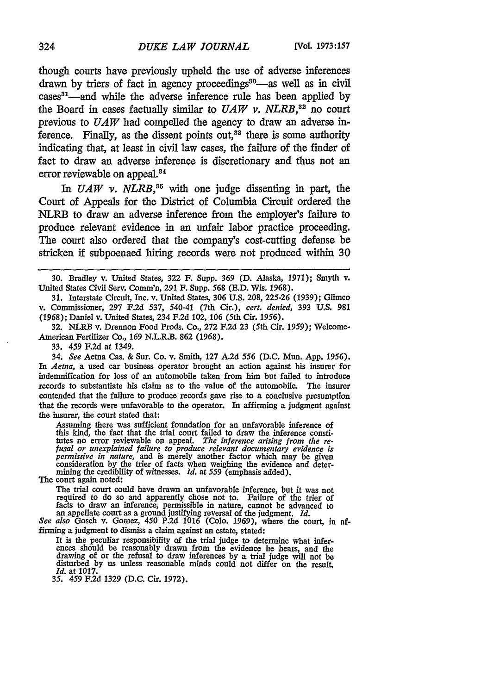though courts have previously upheld the use of adverse inferences drawn by triers of fact in agency proceedings<sup>30</sup>—as well as in civil  $cases^{31}$ —and while the adverse inference rule has been applied by the Board in cases factually similar to  $UAW$  v.  $NLRB$ <sup>32</sup> no court previous to *UAW* had compelled the agency to draw an adverse inference. Finally, as the dissent points out, $3<sup>3</sup>$  there is some authority indicating that, at least in civil law cases, the failure of the finder of fact to draw an adverse inference is discretionary and thus not an error reviewable on appeal.<sup>34</sup>

*In UAW v. NLRB,35* with one judge dissenting in part, the Court of Appeals for the District of Columbia Circuit ordered the NLRB to draw an adverse inference from the employer's failure to produce relevant evidence in an unfair labor practice proceeding. The court also ordered that the company's cost-cutting defense be stricken if subpoenaed hiring records were not produced within 30

30. Bradley v. United States, 322 F. Supp. 369 (D. Alaska, 1971); Smyth v. United States Civil **Serv.** Comm'n, **291** F. Supp. 568 **(E.D.** Wis. 1968).

31. Interstate Circuit, Inc. v. United States, 306 **U.S.** 208, 225-26 **(1939);** Glimco v. Commissioner, 297 F.2d 537, 540-41 (7th Cir.), *cert. denied,* **393 U.S.** 981 **(1968);** Daniel v. United States, 234 F.2d 102, 106 (5th Cir. *1956).*

**32.** NLRB v. Drennon Food Prods. Co., **272** F.2d **23** (5th Cir. 1959); Welcome-American Fertilizer Co., 169 N.L.R.B. 862 (1968).

33. 459 F.2d at 1349.

34. *See* Aetna Cas. & Sur. Co. v. Smith, **127** A.2d 556 (D.C. Mun. App. *1956). In Aetna,* a used car business operator brought an action against his insurer for indemnification for loss of an automobile taken from him but failed to introduce records to substantiate his claim as to the value of the automobile. The insurer contended that the failure to produce records gave rise to a conclusive presumption that the records were unfavorable to the operator. In affirming a judgment against the insurer, the court stated that:

Assuming there was sufficient foundation for an unfavorable inference of this kind, the fact that the trial court failed to draw the inference constitutes no error reviewable on appeal. *The inference arising from the re- fusal or unexplained failure to produce relevant documentary evidence is* permissive in nature, and is merely another factor which may be given<br>consideration by the trier of facts when weighing the evidence and deter-<br>mining the credibility of witnesses. Id. at 559 (emphasis added).

The court again noted:

The trial court could have drawn an unfavorable inference, but it was not required to do so and apparently chose not to. Failure of the trier of facts to draw an inference, permissible in nature, cannot be advanced to an appellate court as a ground justifying reversal of the judgment. *Id.*

*See also* Gosch v. Gomez, 450 P.2d 1016 (Colo. 1969), where the court, in affirming a judgment to dismiss a claim against an estate, stated:

It is the peculiar responsibility of the trial judge to determine what infer- ences should be reasonably drawn from the evidence he hears, and the drawing of or the refusal to draw inferences **by** a trial judge will not be disturbed by us unless reasonable minds could not differ on the result. *Id.* at 1017.

*35. 459* F.2d 1329 **(D.C.** Cir. 1972).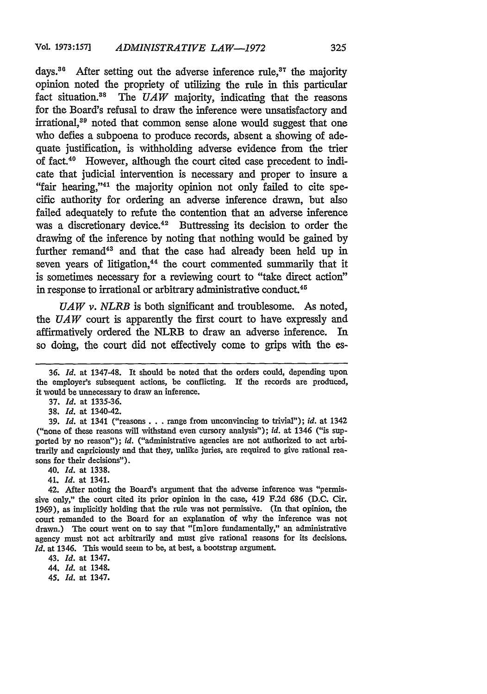days.<sup>36</sup> After setting out the adverse inference rule,<sup>37</sup> the majority opinion noted the propriety of utilizing the rule in this particular fact situation.<sup>38</sup> The *UAW* majority, indicating that the reasons for the Board's refusal to draw the inference were unsatisfactory and irrational,<sup>39</sup> noted that common sense alone would suggest that one who defies a subpoena to produce records, absent a showing of adequate justification, is withholding adverse evidence from the trier of fact.40 However, although the court cited case precedent to indicate that judicial intervention is necessary and proper to insure a "fair hearing,"<sup>41</sup> the majority opinion not only failed to cite specific authority for ordering an adverse inference drawn, but also failed adequately to refute the contention that an adverse inference was a discretionary device.<sup>42</sup> Buttressing its decision to order the drawing of the inference by noting that nothing would be gained by further remand<sup>43</sup> and that the case had already been held up in seven years of litigation,<sup>44</sup> the court commented summarily that it is sometimes necessary for a reviewing court to "take direct action" in response to irrational or arbitrary administrative conduct.<sup>45</sup>

*UAW v. NLRB* is both significant and troublesome. As noted, the *UAW* court is apparently the first court to have expressly and affirmatively ordered the NLRB to draw an adverse inference. In so doing, the court did not effectively come to grips with the es-

39. *Id.* at 1341 ("reasons. **.** .range from unconvincing to trivial"); *id.* at 1342 ("none of these reasons will withstand even cursory analysis"); *id.* at 1346 ("is supported by no reason"); *id.* ("administrative agencies are not authorized to act arbitrarily and capriciously and that they, unlike juries, are required to give rational reasons for their decisions").

- 40. *Id.* at 1338.
- 41. *Id.* at 1341.

42. After noting the Board's argument that the adverse inference was "permissive only," the court cited its prior opinion in the case, 419 F.2d **686** (D.C. Cir. 1969), as implicitly holding that the rule was not permissive. (In that opinion, the court remanded to the Board for an explanation of why the inference was not drawn.) The court went on to say that "Emlore fundamentally," an administrative agency must not act arbitrarily and must give rational reasons for its decisions. *Id.* at 1346. This would seem to be, at best, a bootstrap argument.

43. *Id.* at 1347.

44. *Id.* at 1348.

45. *Id.* **at 1347.**

**<sup>36.</sup>** *Id.* at 1347-48. It should be noted that the orders could, depending upon the employer's subsequent actions, be conflicting. **If** the records are produced, it would be unnecessary to draw an inference.

<sup>37.</sup> *Id.* at 1335-36.

<sup>38.</sup> *Id.* at 1340-42.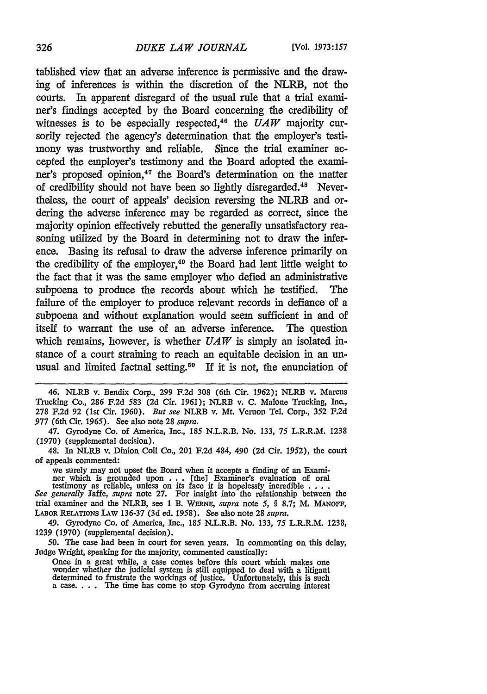tablished view that an adverse inference is permissive and the drawing of inferences is within the discretion of the NLRB, not the courts. In apparent disregard of the usual rule that a trial examiner's findings accepted by the Board concerning the credibility of witnesses is to be especially respected,46 the *UAW* majority cursorily rejected the agency's determination that the employer's testimony was trustworthy and reliable. Since the trial examiner accepted the employer's testimony and the Board adopted the examiner's proposed opinion,<sup>47</sup> the Board's determination on the matter of credibility should not have been so lightly disregarded.<sup>48</sup> Nevertheless, the court of appeals' decision reversing the NLRB and ordering the adverse inference may be regarded as correct, since the majority opinion effectively rebutted the generally unsatisfactory reasoning utilized by the Board in determining not to draw the inference. Basing its refusal to draw the adverse inference primarily on the credibility of the employer,<sup>49</sup> the Board had lent little weight to the fact that it was the same employer who defied an administrative subpoena to produce the records about which he testified. The failure of the employer to produce relevant records in defiance of a subpoena and without explanation would seem sufficient in and of itself to warrant the use of an adverse inference. The question which remains, however, is whether *UAW is* simply an isolated instance of a court straining to reach an equitable decision in an unusual and limited factual setting.<sup>50</sup> If it is not, the enunciation of

46. NLRB v. Bendix Corp., 299 **F.2d 308** (6th Cir. 1962); NLRB v. Marcus Trucking Co., 286 F.2d 583 (2d Cir. 1961); NLRB v. C. Malone Trucking, Inc., 278 F.2d 92 (1st Cir. 1960). *But see* NLRB v. Mt. Vernon Tel. Corp., 352 F.2d 977 (6th Cir. *1965).* See also note 28 supra.

47. Gyrodyne Co. of America, Inc., 185 N.L.R.B. No. 133, 75 L.R.R.M. 1238 (1970) (supplemental decision).

48. In NLRB v. Dinion Coil Co., 201 F.2d 484, 490 (2d Cir. 1952), the court of appeals commented:

we surely may not upset the Board when it accepts a finding of an Exami-<br>ner which is grounded upon  $\dots$  [the] Examiner's evaluation of oral<br>testimony as reliable, unless on its face it is hopelessly incredible  $\dots$ .<br>See

trial examiner and the NLRB, see 1 B. WERNF, *supra* note *5,* § 8.7; M. MANOFF, **LABOR RELATIONS** LAw 136-37 (3d ed. 1958). See also note 28 *supra.*

49. Gyrodyne Co. of America, Inc., 185 N.L.R.B. No. 133, 75 L.R.R.M. 1238, 1239 (1970) (supplemental decision).

50. The case had been in court for seven years. In commenting on this delay, Judge Wright, speaking for the majority, commented caustically:

Once in a great while, a case comes before this court which makes one wonder whether the judicial system is still equipped to deal with a litigant determined to frustrate the workings of justice. Unfortunately, this is such a case. . **.** . The time has come to stop Gyrodyne from accruing interest